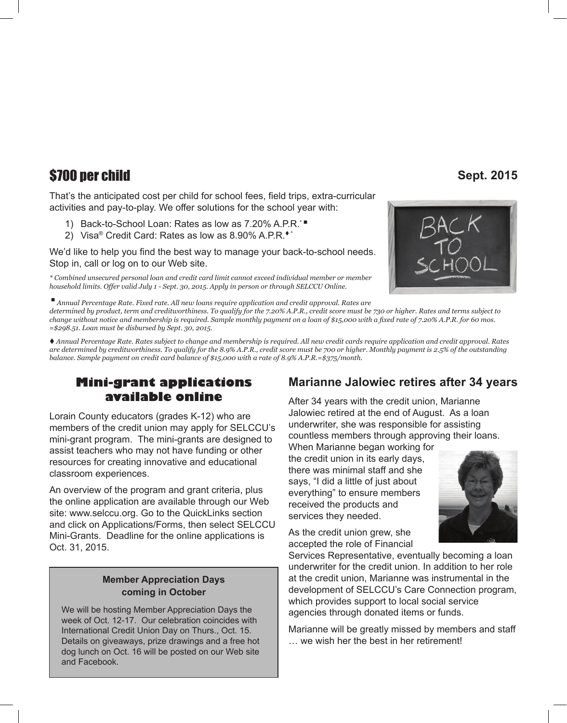# \$700 per child **Sept. 2015**

That's the anticipated cost per child for school fees, field trips, extra-curricular activities and pay-to-play. We offer solutions for the school year with:

- 1) Back-to-School Loan: Rates as low as 7.20% A.P.R.<sup>\*</sup>
- 2) Visa<sup>®</sup> Credit Card: Rates as low as  $8.90\%$  A.P.R.<sup>\*\*</sup>

We'd like to help you find the best way to manage your back-to-school needs. Stop in, call or log on to our Web site.

*\* Combined unsecured personal loan and credit card limit cannot exceed individual member or member household limits. Offer valid July 1 - Sept. 30, 2015. Apply in person or through SELCCU Online.*

<sup>n</sup> *Annual Percentage Rate. Fixed rate. All new loans require application and credit approval. Rates are determined by product, term and creditworthiness. To qualify for the 7.20% A.P.R., credit score must be 730 or higher. Rates and terms subject to change without notice and membership is required. Sample monthly payment on a loan of \$15,000 with a fixed rate of 7.20% A.P.R. for 60 mos. =\$298.51. Loan must be disbursed by Sept. 30, 2015.*

t *Annual Percentage Rate. Rates subject to change and membership is required. All new credit cards require application and credit approval. Rates are determined by creditworthiness. To qualify for the 8.9% A.P.R., credit score must be 700 or higher. Monthly payment is 2.5% of the outstanding balance. Sample payment on credit card balance of \$15,000 with a rate of 8.9% A.P.R.=\$375/month.*

### **Mini-grant applications available online**

Lorain County educators (grades K-12) who are members of the credit union may apply for SELCCU's mini-grant program. The mini-grants are designed to assist teachers who may not have funding or other resources for creating innovative and educational classroom experiences.

An overview of the program and grant criteria, plus the online application are available through our Web site: www.selccu.org. Go to the QuickLinks section and click on Applications/Forms, then select SELCCU Mini-Grants. Deadline for the online applications is Oct. 31, 2015.

### **Member Appreciation Days coming in October**

We will be hosting Member Appreciation Days the week of Oct. 12-17. Our celebration coincides with International Credit Union Day on Thurs., Oct. 15. Details on giveaways, prize drawings and a free hot dog lunch on Oct. 16 will be posted on our Web site and Facebook.

## **Marianne Jalowiec retires after 34 years**

After 34 years with the credit union, Marianne Jalowiec retired at the end of August. As a loan underwriter, she was responsible for assisting countless members through approving their loans.

When Marianne began working for the credit union in its early days, there was minimal staff and she says, "I did a little of just about everything" to ensure members received the products and services they needed.

As the credit union grew, she accepted the role of Financial



Services Representative, eventually becoming a loan underwriter for the credit union. In addition to her role at the credit union, Marianne was instrumental in the development of SELCCU's Care Connection program, which provides support to local social service agencies through donated items or funds.

Marianne will be greatly missed by members and staff … we wish her the best in her retirement!